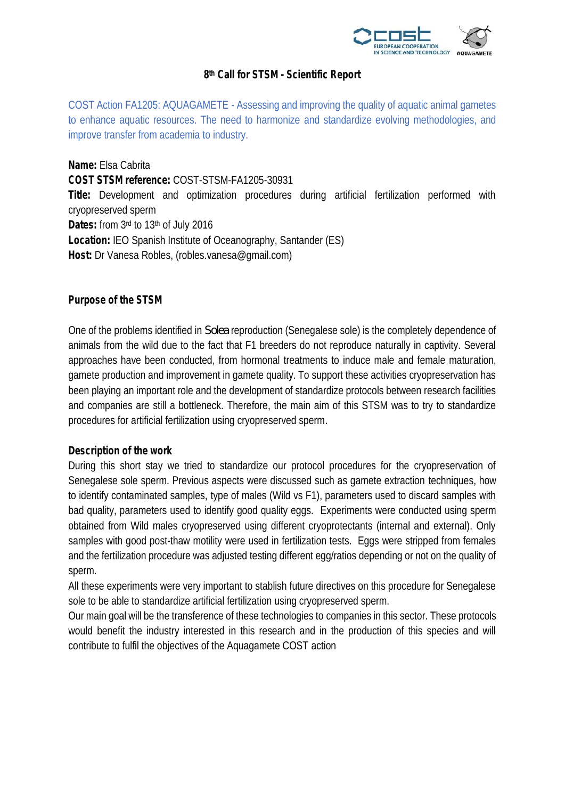

## **8 th Call for STSM - Scientific Report**

COST Action FA1205: AQUAGAMETE - Assessing and improving the quality of aquatic animal gametes to enhance aquatic resources. The need to harmonize and standardize evolving methodologies, and improve transfer from academia to industry.

**Name:** Elsa Cabrita **COST STSM reference:** COST-STSM-FA1205-30931 **Title:** Development and optimization procedures during artificial fertilization performed with cryopreserved sperm Dates: from 3<sup>rd</sup> to 13<sup>th</sup> of July 2016 **Location:** IEO Spanish Institute of Oceanography, Santander (ES) **Host:** Dr Vanesa Robles, (robles.vanesa@gmail.com)

**Purpose of the STSM**

One of the problems identified in *Solea* reproduction (Senegalese sole) is the completely dependence of animals from the wild due to the fact that F1 breeders do not reproduce naturally in captivity. Several approaches have been conducted, from hormonal treatments to induce male and female maturation, gamete production and improvement in gamete quality. To support these activities cryopreservation has been playing an important role and the development of standardize protocols between research facilities and companies are still a bottleneck. Therefore, the main aim of this STSM was to try to standardize procedures for artificial fertilization using cryopreserved sperm.

## **Description of the work**

During this short stay we tried to standardize our protocol procedures for the cryopreservation of Senegalese sole sperm. Previous aspects were discussed such as gamete extraction techniques, how to identify contaminated samples, type of males (Wild vs F1), parameters used to discard samples with bad quality, parameters used to identify good quality eggs. Experiments were conducted using sperm obtained from Wild males cryopreserved using different cryoprotectants (internal and external). Only samples with good post-thaw motility were used in fertilization tests. Eggs were stripped from females and the fertilization procedure was adjusted testing different egg/ratios depending or not on the quality of sperm.

All these experiments were very important to stablish future directives on this procedure for Senegalese sole to be able to standardize artificial fertilization using cryopreserved sperm.

Our main goal will be the transference of these technologies to companies in this sector. These protocols would benefit the industry interested in this research and in the production of this species and will contribute to fulfil the objectives of the Aquagamete COST action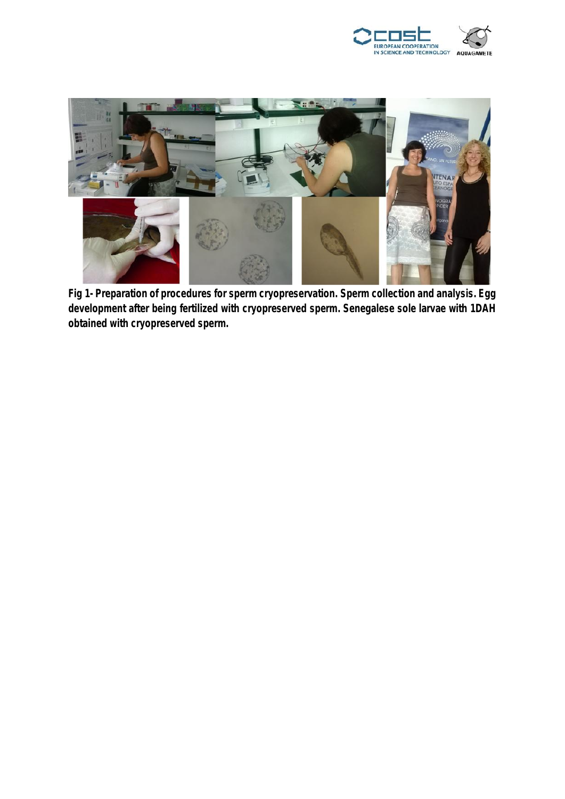



**Fig 1- Preparation of procedures for sperm cryopreservation. Sperm collection and analysis. Egg development after being fertilized with cryopreserved sperm. Senegalese sole larvae with 1DAH obtained with cryopreserved sperm.**